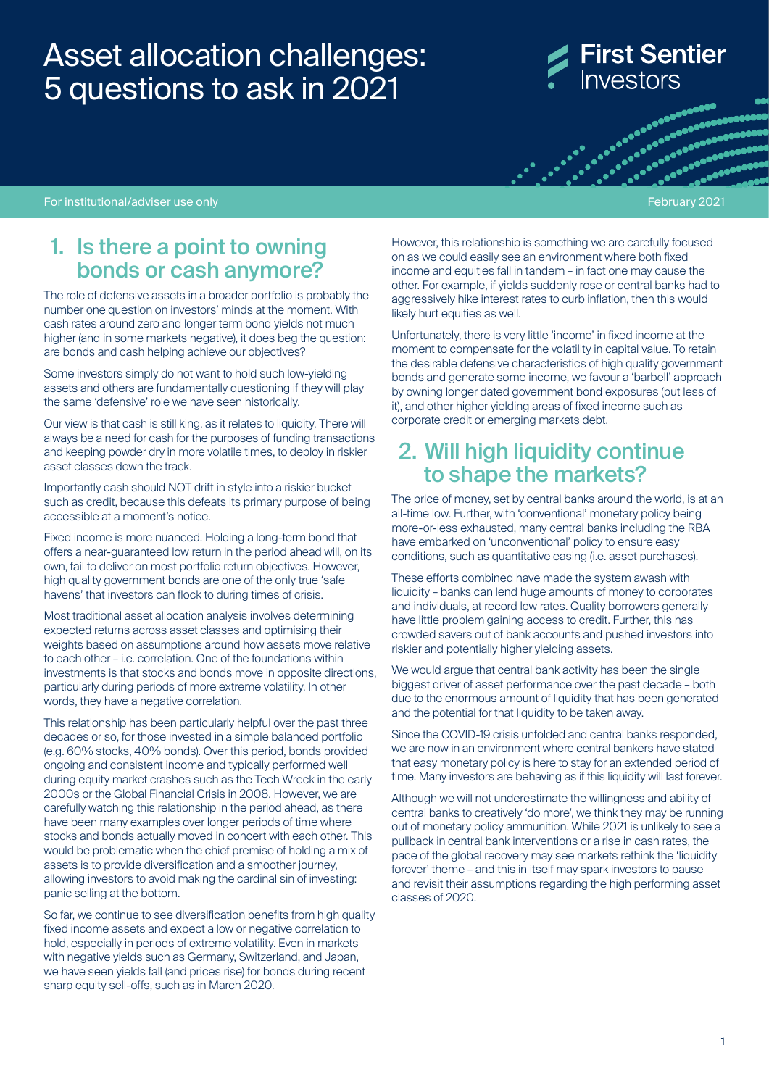## Asset allocation challenges: 5 questions to ask in 2021

# **First Sentier** Investors

**OUROLOGIC DESCRIPTION** 

For institutional/adviser use only February 2021 and the control of the control of the control of the February 2021

#### 1. Is there a point to owning bonds or cash anymore?

The role of defensive assets in a broader portfolio is probably the number one question on investors' minds at the moment. With cash rates around zero and longer term bond yields not much higher (and in some markets negative), it does beg the question: are bonds and cash helping achieve our objectives?

Some investors simply do not want to hold such low-yielding assets and others are fundamentally questioning if they will play the same 'defensive' role we have seen historically.

Our view is that cash is still king, as it relates to liquidity. There will always be a need for cash for the purposes of funding transactions and keeping powder dry in more volatile times, to deploy in riskier asset classes down the track.

Importantly cash should NOT drift in style into a riskier bucket such as credit, because this defeats its primary purpose of being accessible at a moment's notice.

Fixed income is more nuanced. Holding a long-term bond that offers a near-guaranteed low return in the period ahead will, on its own, fail to deliver on most portfolio return objectives. However, high quality government bonds are one of the only true 'safe havens' that investors can flock to during times of crisis.

Most traditional asset allocation analysis involves determining expected returns across asset classes and optimising their weights based on assumptions around how assets move relative to each other – i.e. correlation. One of the foundations within investments is that stocks and bonds move in opposite directions, particularly during periods of more extreme volatility. In other words, they have a negative correlation.

This relationship has been particularly helpful over the past three decades or so, for those invested in a simple balanced portfolio (e.g. 60% stocks, 40% bonds). Over this period, bonds provided ongoing and consistent income and typically performed well during equity market crashes such as the Tech Wreck in the early 2000s or the Global Financial Crisis in 2008. However, we are carefully watching this relationship in the period ahead, as there have been many examples over longer periods of time where stocks and bonds actually moved in concert with each other. This would be problematic when the chief premise of holding a mix of assets is to provide diversification and a smoother journey, allowing investors to avoid making the cardinal sin of investing: panic selling at the bottom.

So far, we continue to see diversification benefits from high quality fixed income assets and expect a low or negative correlation to hold, especially in periods of extreme volatility. Even in markets with negative yields such as Germany, Switzerland, and Japan, we have seen yields fall (and prices rise) for bonds during recent sharp equity sell-offs, such as in March 2020.

However, this relationship is something we are carefully focused on as we could easily see an environment where both fixed income and equities fall in tandem – in fact one may cause the other. For example, if yields suddenly rose or central banks had to aggressively hike interest rates to curb inflation, then this would likely hurt equities as well.

Unfortunately, there is very little 'income' in fixed income at the moment to compensate for the volatility in capital value. To retain the desirable defensive characteristics of high quality government bonds and generate some income, we favour a 'barbell' approach by owning longer dated government bond exposures (but less of it), and other higher yielding areas of fixed income such as corporate credit or emerging markets debt.

### 2. Will high liquidity continue to shape the markets?

The price of money, set by central banks around the world, is at an all-time low. Further, with 'conventional' monetary policy being more-or-less exhausted, many central banks including the RBA have embarked on 'unconventional' policy to ensure easy conditions, such as quantitative easing (i.e. asset purchases).

These efforts combined have made the system awash with liquidity – banks can lend huge amounts of money to corporates and individuals, at record low rates. Quality borrowers generally have little problem gaining access to credit. Further, this has crowded savers out of bank accounts and pushed investors into riskier and potentially higher yielding assets.

We would argue that central bank activity has been the single biggest driver of asset performance over the past decade – both due to the enormous amount of liquidity that has been generated and the potential for that liquidity to be taken away.

Since the COVID-19 crisis unfolded and central banks responded, we are now in an environment where central bankers have stated that easy monetary policy is here to stay for an extended period of time. Many investors are behaving as if this liquidity will last forever.

Although we will not underestimate the willingness and ability of central banks to creatively 'do more', we think they may be running out of monetary policy ammunition. While 2021 is unlikely to see a pullback in central bank interventions or a rise in cash rates, the pace of the global recovery may see markets rethink the 'liquidity forever' theme – and this in itself may spark investors to pause and revisit their assumptions regarding the high performing asset classes of 2020.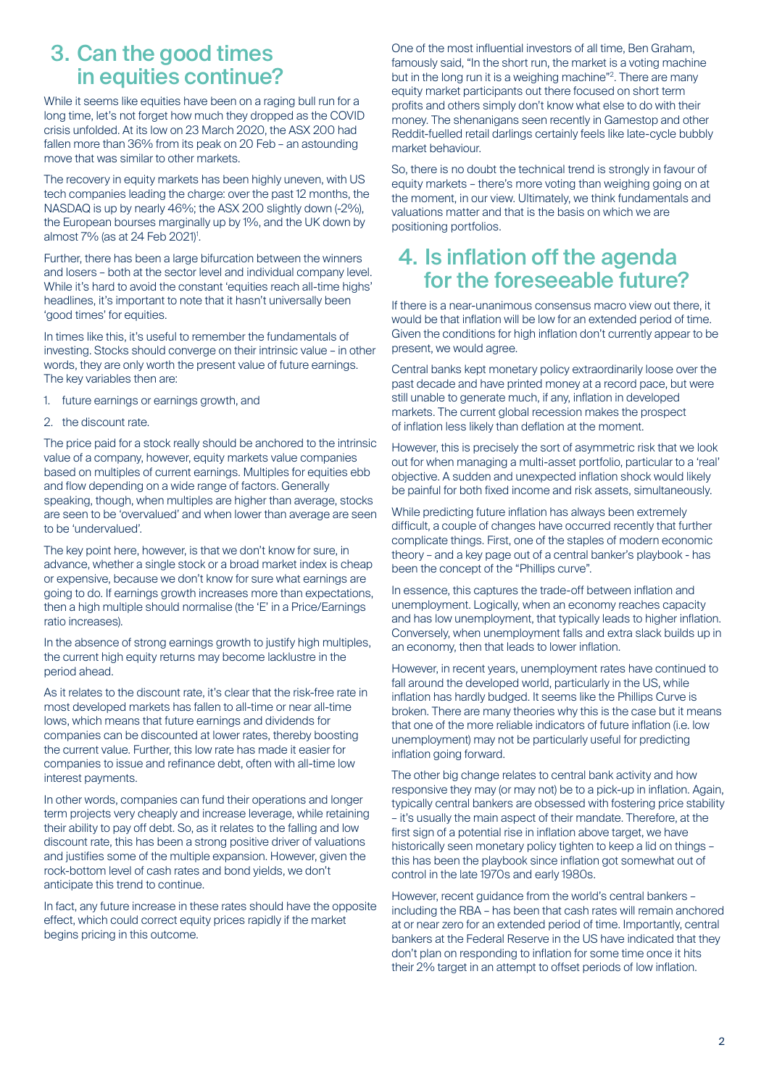### 3. Can the good times in equities continue?

While it seems like equities have been on a raging bull run for a long time, let's not forget how much they dropped as the COVID crisis unfolded. At its low on 23 March 2020, the ASX 200 had fallen more than 36% from its peak on 20 Feb – an astounding move that was similar to other markets.

The recovery in equity markets has been highly uneven, with US tech companies leading the charge: over the past 12 months, the NASDAQ is up by nearly 46%; the ASX 200 slightly down (-2%), the European bourses marginally up by 1%, and the UK down by almost 7% (as at 24 Feb 2021)<sup>1</sup>.

Further, there has been a large bifurcation between the winners and losers – both at the sector level and individual company level. While it's hard to avoid the constant 'equities reach all-time highs' headlines, it's important to note that it hasn't universally been 'good times' for equities.

In times like this, it's useful to remember the fundamentals of investing. Stocks should converge on their intrinsic value – in other words, they are only worth the present value of future earnings. The key variables then are:

- 1. future earnings or earnings growth, and
- 2. the discount rate.

The price paid for a stock really should be anchored to the intrinsic value of a company, however, equity markets value companies based on multiples of current earnings. Multiples for equities ebb and flow depending on a wide range of factors. Generally speaking, though, when multiples are higher than average, stocks are seen to be 'overvalued' and when lower than average are seen to be 'undervalued'.

The key point here, however, is that we don't know for sure, in advance, whether a single stock or a broad market index is cheap or expensive, because we don't know for sure what earnings are going to do. If earnings growth increases more than expectations, then a high multiple should normalise (the 'E' in a Price/Earnings ratio increases).

In the absence of strong earnings growth to justify high multiples, the current high equity returns may become lacklustre in the period ahead.

As it relates to the discount rate, it's clear that the risk-free rate in most developed markets has fallen to all-time or near all-time lows, which means that future earnings and dividends for companies can be discounted at lower rates, thereby boosting the current value. Further, this low rate has made it easier for companies to issue and refinance debt, often with all-time low interest payments.

In other words, companies can fund their operations and longer term projects very cheaply and increase leverage, while retaining their ability to pay off debt. So, as it relates to the falling and low discount rate, this has been a strong positive driver of valuations and justifies some of the multiple expansion. However, given the rock-bottom level of cash rates and bond yields, we don't anticipate this trend to continue.

In fact, any future increase in these rates should have the opposite effect, which could correct equity prices rapidly if the market begins pricing in this outcome.

One of the most influential investors of all time, Ben Graham, famously said, "In the short run, the market is a voting machine but in the long run it is a weighing machine"<sup>2</sup>. There are many equity market participants out there focused on short term profits and others simply don't know what else to do with their money. The shenanigans seen recently in Gamestop and other Reddit-fuelled retail darlings certainly feels like late-cycle bubbly market behaviour.

So, there is no doubt the technical trend is strongly in favour of equity markets – there's more voting than weighing going on at the moment, in our view. Ultimately, we think fundamentals and valuations matter and that is the basis on which we are positioning portfolios.

### 4. Is inflation off the agenda for the foreseeable future?

If there is a near-unanimous consensus macro view out there, it would be that inflation will be low for an extended period of time. Given the conditions for high inflation don't currently appear to be present, we would agree.

Central banks kept monetary policy extraordinarily loose over the past decade and have printed money at a record pace, but were still unable to generate much, if any, inflation in developed markets. The current global recession makes the prospect of inflation less likely than deflation at the moment.

However, this is precisely the sort of asymmetric risk that we look out for when managing a multi-asset portfolio, particular to a 'real' objective. A sudden and unexpected inflation shock would likely be painful for both fixed income and risk assets, simultaneously.

While predicting future inflation has always been extremely difficult, a couple of changes have occurred recently that further complicate things. First, one of the staples of modern economic theory – and a key page out of a central banker's playbook - has been the concept of the "Phillips curve".

In essence, this captures the trade-off between inflation and unemployment. Logically, when an economy reaches capacity and has low unemployment, that typically leads to higher inflation. Conversely, when unemployment falls and extra slack builds up in an economy, then that leads to lower inflation.

However, in recent years, unemployment rates have continued to fall around the developed world, particularly in the US, while inflation has hardly budged. It seems like the Phillips Curve is broken. There are many theories why this is the case but it means that one of the more reliable indicators of future inflation (i.e. low unemployment) may not be particularly useful for predicting inflation going forward.

The other big change relates to central bank activity and how responsive they may (or may not) be to a pick-up in inflation. Again, typically central bankers are obsessed with fostering price stability – it's usually the main aspect of their mandate. Therefore, at the first sign of a potential rise in inflation above target, we have historically seen monetary policy tighten to keep a lid on things – this has been the playbook since inflation got somewhat out of control in the late 1970s and early 1980s.

However, recent guidance from the world's central bankers – including the RBA – has been that cash rates will remain anchored at or near zero for an extended period of time. Importantly, central bankers at the Federal Reserve in the US have indicated that they don't plan on responding to inflation for some time once it hits their 2% target in an attempt to offset periods of low inflation.